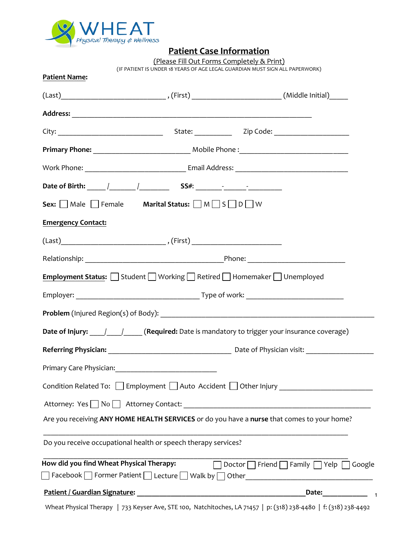

# **Patient Case Information**

(Please Fill Out Forms Completely & Print)

(IF PATIENT IS UNDER 18 YEARS OF AGE LEGAL GUARDIAN MUST SIGN ALL PAPERWORK)

| Patient Name:                                                                       |                                                                                                                  |
|-------------------------------------------------------------------------------------|------------------------------------------------------------------------------------------------------------------|
|                                                                                     |                                                                                                                  |
|                                                                                     |                                                                                                                  |
|                                                                                     |                                                                                                                  |
|                                                                                     |                                                                                                                  |
|                                                                                     |                                                                                                                  |
|                                                                                     |                                                                                                                  |
| Sex: $\Box$ Male $\Box$ Female Marital Status: $\Box$ M $\Box$ S $\Box$ D $\Box$ W  |                                                                                                                  |
| <b>Emergency Contact:</b>                                                           |                                                                                                                  |
| $\text{(Last)}\_\_\_\_\_\_\_\_\_\_\_\_ \,\, \text{(First)}\_\_\_\_\_\_\_\_\_\_ \,.$ |                                                                                                                  |
|                                                                                     |                                                                                                                  |
|                                                                                     | Employment Status: Student Norking Retired Homemaker Unemployed                                                  |
|                                                                                     |                                                                                                                  |
|                                                                                     |                                                                                                                  |
|                                                                                     | Date of Injury: 11 12 (Required: Date is mandatory to trigger your insurance coverage)                           |
|                                                                                     |                                                                                                                  |
|                                                                                     |                                                                                                                  |
|                                                                                     | Condition Related To: Employment Auto Accident Other Injury Condition Related To: Employment DAuto Accident O    |
|                                                                                     | Attorney: Yes No Attorney Contact: Attorney Contact:                                                             |
|                                                                                     | Are you receiving ANY HOME HEALTH SERVICES or do you have a nurse that comes to your home?                       |
| Do you receive occupational health or speech therapy services?                      |                                                                                                                  |
| How did you find Wheat Physical Therapy:                                            | Doctor   Friend   Family   Yelp   Google                                                                         |
|                                                                                     |                                                                                                                  |
|                                                                                     | Date: $\frac{1}{2}$                                                                                              |
|                                                                                     | Wheat Physical Therapy   733 Keyser Ave, STE 100, Natchitoches, LA 71457   p: (318) 238-4480   f: (318) 238-4492 |

1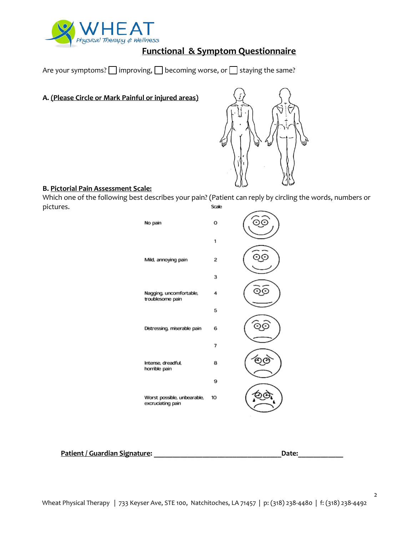

# **Functional & Symptom Questionnaire**

Are your symptoms?  $\Box$  improving,  $\Box$  becoming worse, or  $\Box$  staying the same?

**A. (Please Circle or Mark Painful or injured areas)**



#### **B. Pictorial Pain Assessment Scale:**

Which one of the following best describes your pain? (Patient can reply by circling the words, numbers or pictures. Scale



**Patient / Guardian Signature: \_\_\_\_\_\_\_\_\_\_\_\_\_\_\_\_\_\_\_\_\_\_\_\_\_\_\_\_\_\_\_\_\_\_Date:\_\_\_\_\_\_\_\_\_\_\_\_**

2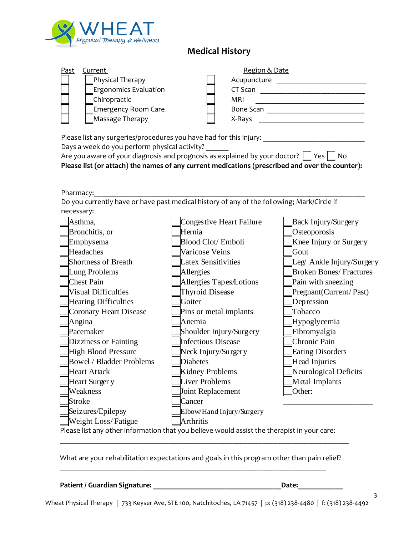

# **Medical History**

| Past | Current                      | Region & Date    |
|------|------------------------------|------------------|
|      | Physical Therapy             | Acupuncture      |
|      | <b>Ergonomics Evaluation</b> | CT Scan          |
|      | Chiropractic                 | MRI              |
|      | Emergency Room Care          | <b>Bone Scan</b> |
|      | Massage Therapy              | X-Rays           |
|      |                              |                  |

Please list any surgeries/procedures you have had for this injury:

Days a week do you perform physical activity?

Are you aware of your diagnosis and prognosis as explained by your doctor?  $\vert \vert$  Yes  $\vert \vert$  No **Please list (or attach) the names of any current medications (prescribed and over the counter):**

Pharmacy: Do you currently have or have past medical history of any of the following; Mark/Circle if necessary:

| Pharmacy:                       |                                                                                             |                                |
|---------------------------------|---------------------------------------------------------------------------------------------|--------------------------------|
|                                 | Do you currently have or have past medical history of any of the following; Mark/Circle if  |                                |
| necessary:                      |                                                                                             |                                |
| Asthma,                         | Congestive Heart Failure                                                                    | Back Injury/Surgery            |
| Bronchitis, or                  | Hernia                                                                                      | Osteoporosis                   |
| Emphysema                       | Blood Clot/ Emboli                                                                          | Knee Injury or Surgery         |
| Headaches                       | Varicose Veins                                                                              | Gout                           |
| <b>Shortness of Breath</b>      | <b>Latex Sensitivities</b>                                                                  | Leg/ Ankle Injury/Surgery      |
| Lung Problems                   | Allergies                                                                                   | <b>Broken Bones/ Fractures</b> |
| <b>Chest Pain</b>               | Allergies Tapes/Lotions                                                                     | Pain with sneezing             |
| <b>Visual Difficulties</b>      | <b>Thyroid Disease</b>                                                                      | Pregnant (Current/Past)        |
| <b>Hearing Difficulties</b>     | Goiter                                                                                      | Depression                     |
| <b>Coronary Heart Disease</b>   | Pins or metal implants                                                                      | Tobacco                        |
| Angina                          | Anemia                                                                                      | Hypoglycemia                   |
| Pacemaker                       | Shoulder Injury/Surgery                                                                     | Fibromyalgia                   |
| Dizziness or Fainting           | <b>Infectious Disease</b>                                                                   | Chronic Pain                   |
| High Blood Pressure             | Neck Injury/Surgery                                                                         | <b>Eating Disorders</b>        |
| <b>Bowel / Bladder Problems</b> | <b>Diabetes</b>                                                                             | Head Injuries                  |
| <b>Heart Attack</b>             | Kidney Problems                                                                             | Neurological Deficits          |
| Heart Surger y                  | <b>Liver Problems</b>                                                                       | Metal Implants                 |
| Weakness                        | Joint Replacement                                                                           | Other:                         |
| <b>Stroke</b>                   | Cancer                                                                                      |                                |
| Seizures/Epilepsy               | Elbow/Hand Injury/Surgery                                                                   |                                |
| Weight Loss/Fatigue             | <b>Arthritis</b>                                                                            |                                |
|                                 | Please list any other information that you believe would assist the therapist in your care: |                                |

What are your rehabilitation expectations and goals in this program other than pain relief?

 $\_$  , and the set of the set of the set of the set of the set of the set of the set of the set of the set of the set of the set of the set of the set of the set of the set of the set of the set of the set of the set of th

\_\_\_\_\_\_\_\_\_\_\_\_\_\_\_\_\_\_\_\_\_\_\_\_\_\_\_\_\_\_\_\_\_\_\_\_\_\_\_\_\_\_\_\_\_\_\_\_\_\_\_\_\_\_\_\_\_\_\_\_\_\_\_\_\_\_\_\_\_\_\_\_\_\_\_\_\_

| Patient / Guardian Signature: | Date: |  |
|-------------------------------|-------|--|
|                               |       |  |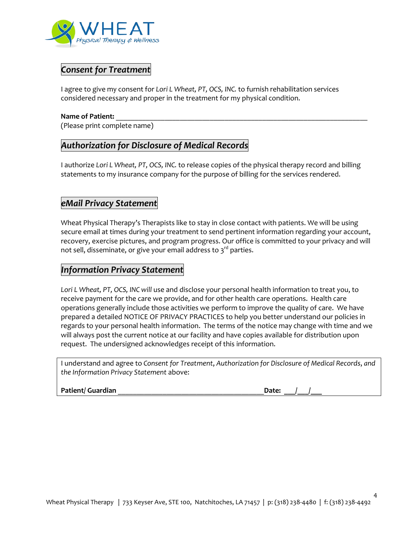

### *Consent for Treatment*

I agree to give my consent for *Lori L Wheat, PT, OCS, INC.* to furnish rehabilitation services considered necessary and proper in the treatment for my physical condition.

#### Name of Patient:

(Please print complete name)

## *Authorization for Disclosure of Medical Records*

I authorize *Lori L Wheat, PT, OCS, INC.* to release copies of the physical therapy record and billing statements to my insurance company for the purpose of billing for the services rendered.

## *eMail Privacy Statement*

Wheat Physical Therapy's Therapists like to stay in close contact with patients. We will be using secure email at times during your treatment to send pertinent information regarding your account, recovery, exercise pictures, and program progress. Our office is committed to your privacy and will not sell, disseminate, or give your email address to 3 $^{\rm rd}$  parties.

#### *Information Privacy Statement*

*Lori L Wheat, PT, OCS, INC will* use and disclose your personal health information to treat you, to receive payment for the care we provide, and for other health care operations. Health care operations generally include those activities we perform to improve the quality of care. We have prepared a detailed NOTICE OF PRIVACY PRACTICES to help you better understand our policies in regards to your personal health information. The terms of the notice may change with time and we will always post the current notice at our facility and have copies available for distribution upon request. The undersigned acknowledges receipt of this information.

I understand and agree to *Consent for Treatment*, *Authorization for Disclosure of Medical Records*, *and the Information Privacy Statement* above:

Patient/ Guardian **Patient** Current of the United States and Date:

4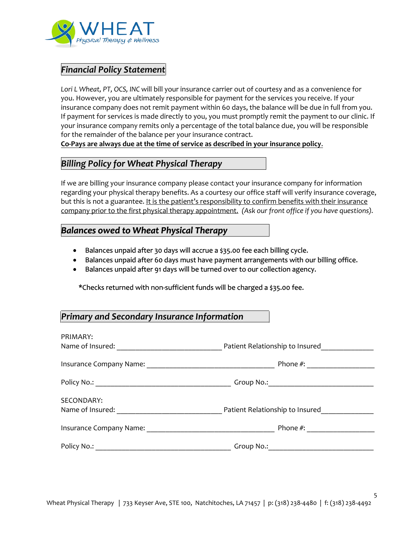

# *Financial Policy Statement*

*Lori L Wheat, PT, OCS, INC* will bill your insurance carrier out of courtesy and as a convenience for you. However, you are ultimately responsible for payment for the services you receive. If your insurance company does not remit payment within 60 days, the balance will be due in full from you. If payment for services is made directly to you, you must promptly remit the payment to our clinic. If your insurance company remits only a percentage of the total balance due, you will be responsible for the remainder of the balance per your insurance contract.

**Co-Pays are always due at the time of service as described in your insurance policy**.

# *Billing Policy for Wheat Physical Therapy*

If we are billing your insurance company please contact your insurance company for information regarding your physical therapy benefits. As a courtesy our office staff will verify insurance coverage, but this is not a guarantee. It is the patient's responsibility to confirm benefits with their insurance company prior to the first physical therapy appointment. *(Ask our front office if you have questions).* 

#### *Balances owed to Wheat Physical Therapy*

- Balances unpaid after 30 days will accrue a \$35.00 fee each billing cycle.
- Balances unpaid after 60 days must have payment arrangements with our billing office.
- Balances unpaid after 91 days will be turned over to our collection agency.

\*Checks returned with non-sufficient funds will be charged a \$35.00 fee.

### *Primary and Secondary Insurance Information*

| PRIMARY:<br>Name of Insured:   | Patient Relationship to Insured |  |
|--------------------------------|---------------------------------|--|
|                                | Phone $#$ :                     |  |
|                                |                                 |  |
| SECONDARY:<br>Name of Insured: | Patient Relationship to Insured |  |
| Insurance Company Name: Names  | Phone $#$ :                     |  |
|                                | Group No.:                      |  |